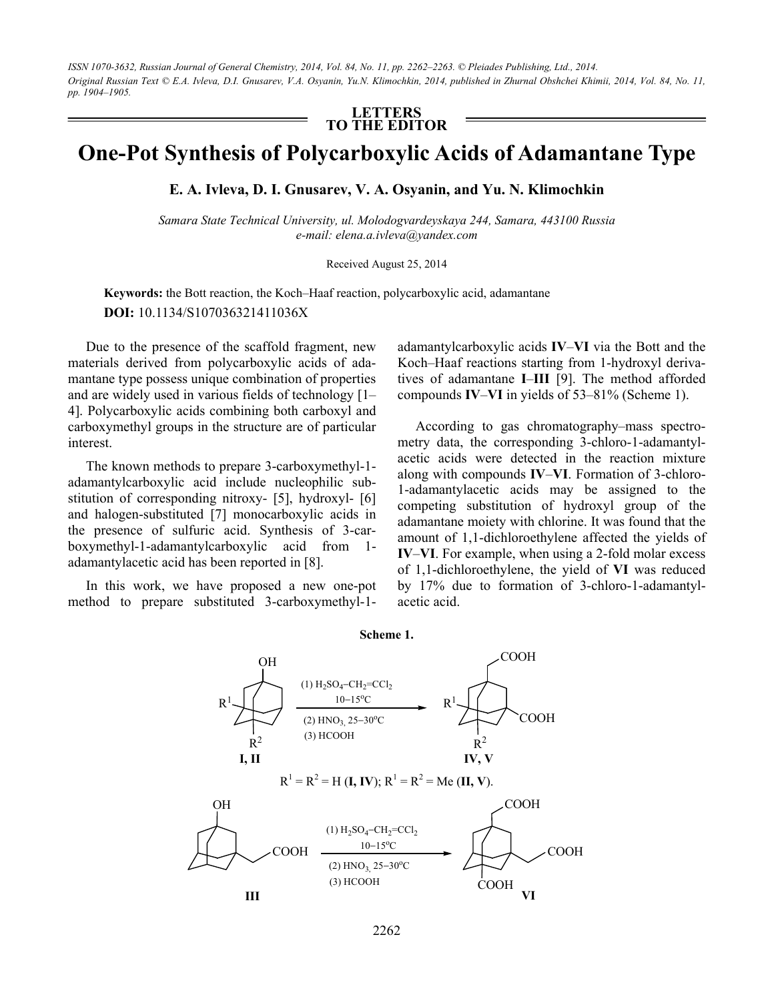*ISSN 1070-3632, Russian Journal of General Chemistry, 2014, Vol. 84, No. 11, pp. 2262–2263. © Pleiades Publishing, Ltd., 2014. Original Russian Text © E.A. Ivleva, D.I. Gnusarev, V.A. Osyanin, Yu.N. Klimochkin, 2014, published in Zhurnal Obshchei Khimii, 2014, Vol. 84, No. 11, pp. 1904–1905.* 

> **LETTERS TO THE EDITOR**

## **One-Pot Synthesis of Polycarboxylic Acids of Adamantane Type**

**E. A. Ivleva, D. I. Gnusarev, V. A. Osyanin, and Yu. N. Klimochkin** 

*Samara State Technical University, ul. Molodogvardeyskaya 244, Samara, 443100 Russia e-mail: elena.a.ivleva@yandex.com* 

Received August 25, 2014

**Keywords:** the Bott reaction, the Koch–Haaf reaction, polycarboxylic acid, adamantane **DOI:** 10.1134/S107036321411036X

Due to the presence of the scaffold fragment, new materials derived from polycarboxylic acids of adamantane type possess unique combination of properties and are widely used in various fields of technology [1– 4]. Polycarboxylic acids combining both carboxyl and carboxymethyl groups in the structure are of particular interest.

The known methods to prepare 3-carboxymethyl-1 adamantylcarboxylic acid include nucleophilic substitution of corresponding nitroxy- [5], hydroxyl- [6] and halogen-substituted [7] monocarboxylic acids in the presence of sulfuric acid. Synthesis of 3-carboxymethyl-1-adamantylcarboxylic acid from 1 adamantylacetic acid has been reported in [8].

In this work, we have proposed a new one-pot method to prepare substituted 3-carboxymethyl-1adamantylcarboxylic acids **IV**–**VI** via the Bott and the Koch–Haaf reactions starting from 1-hydroxyl derivatives of adamantane **I**–**III** [9]. The method afforded compounds **IV**–**VI** in yields of 53–81% (Scheme 1).

According to gas chromatography–mass spectrometry data, the corresponding 3-chloro-1-adamantylacetic acids were detected in the reaction mixture along with compounds **IV**–**VI**. Formation of 3-chloro-1-adamantylacetic acids may be assigned to the competing substitution of hydroxyl group of the adamantane moiety with chlorine. It was found that the amount of 1,1-dichloroethylene affected the yields of **IV**–**VI**. For example, when using a 2-fold molar excess of 1,1-dichloroethylene, the yield of **VI** was reduced by 17% due to formation of 3-chloro-1-adamantylacetic acid.